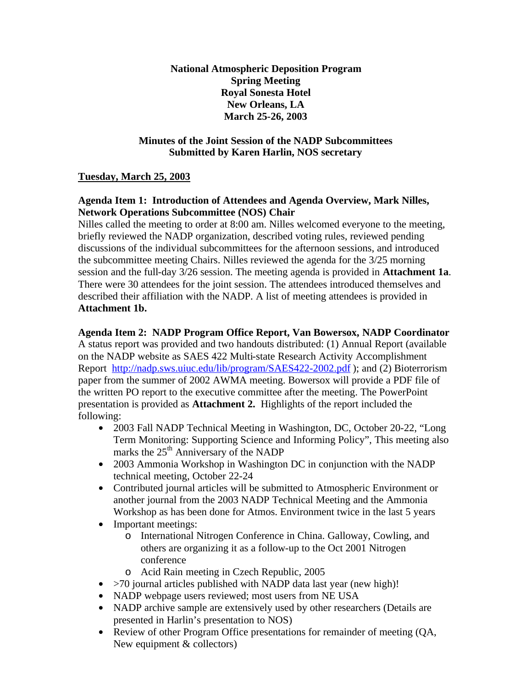**National Atmospheric Deposition Program Spring Meeting Royal Sonesta Hotel New Orleans, LA March 25-26, 2003**

## **Minutes of the Joint Session of the NADP Subcommittees Submitted by Karen Harlin, NOS secretary**

# **Tuesday, March 25, 2003**

# **Agenda Item 1: Introduction of Attendees and Agenda Overview, Mark Nilles, Network Operations Subcommittee (NOS) Chair**

Nilles called the meeting to order at 8:00 am. Nilles welcomed everyone to the meeting, briefly reviewed the NADP organization, described voting rules, reviewed pending discussions of the individual subcommittees for the afternoon sessions, and introduced the subcommittee meeting Chairs. Nilles reviewed the agenda for the 3/25 morning session and the full-day 3/26 session. The meeting agenda is provided in **Attachment 1a**. There were 30 attendees for the joint session. The attendees introduced themselves and described their affiliation with the NADP. A list of meeting attendees is provided in **Attachment 1b.**

## **Agenda Item 2: NADP Program Office Report, Van Bowersox, NADP Coordinator**

A status report was provided and two handouts distributed: (1) Annual Report (available on the NADP website as SAES 422 Multi-state Research Activity Accomplishment Report http://nadp.sws.uiuc.edu/lib/program/SAES422-2002.pdf); and (2) Bioterrorism paper from the summer of 2002 AWMA meeting. Bowersox will provide a PDF file of the written PO report to the executive committee after the meeting. The PowerPoint presentation is provided as **Attachment 2.** Highlights of the report included the following:

- 2003 Fall NADP Technical Meeting in Washington, DC, October 20-22, "Long Term Monitoring: Supporting Science and Informing Policy", This meeting also marks the 25<sup>th</sup> Anniversary of the NADP
- 2003 Ammonia Workshop in Washington DC in conjunction with the NADP technical meeting, October 22-24
- Contributed journal articles will be submitted to Atmospheric Environment or another journal from the 2003 NADP Technical Meeting and the Ammonia Workshop as has been done for Atmos. Environment twice in the last 5 years
- Important meetings:
	- o International Nitrogen Conference in China. Galloway, Cowling, and others are organizing it as a follow-up to the Oct 2001 Nitrogen conference
	- o Acid Rain meeting in Czech Republic, 2005
- $\bullet$  >70 journal articles published with NADP data last year (new high)!
- NADP webpage users reviewed; most users from NE USA
- NADP archive sample are extensively used by other researchers (Details are presented in Harlin's presentation to NOS)
- Review of other Program Office presentations for remainder of meeting (QA, New equipment & collectors)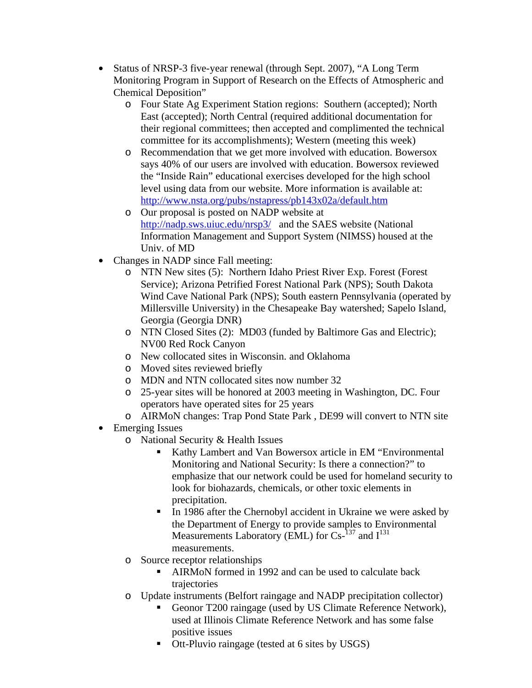- Status of NRSP-3 five-year renewal (through Sept. 2007), "A Long Term Monitoring Program in Support of Research on the Effects of Atmospheric and Chemical Deposition"
	- o Four State Ag Experiment Station regions: Southern (accepted); North East (accepted); North Central (required additional documentation for their regional committees; then accepted and complimented the technical committee for its accomplishments); Western (meeting this week)
	- o Recommendation that we get more involved with education. Bowersox says 40% of our users are involved with education. Bowersox reviewed the "Inside Rain" educational exercises developed for the high school level using data from our website. More information is available at: http://www.nsta.org/pubs/nstapress/pb143x02a/default.htm
	- o Our proposal is posted on NADP website at http://nadp.sws.uiuc.edu/nrsp3/ and the SAES website (National Information Management and Support System (NIMSS) housed at the Univ. of MD
- Changes in NADP since Fall meeting:
	- o NTN New sites (5): Northern Idaho Priest River Exp. Forest (Forest Service); Arizona Petrified Forest National Park (NPS); South Dakota Wind Cave National Park (NPS); South eastern Pennsylvania (operated by Millersville University) in the Chesapeake Bay watershed; Sapelo Island, Georgia (Georgia DNR)
	- o NTN Closed Sites (2): MD03 (funded by Baltimore Gas and Electric); NV00 Red Rock Canyon
	- o New collocated sites in Wisconsin. and Oklahoma
	- o Moved sites reviewed briefly
	- o MDN and NTN collocated sites now number 32
	- o 25-year sites will be honored at 2003 meeting in Washington, DC. Four operators have operated sites for 25 years
	- o AIRMoN changes: Trap Pond State Park , DE99 will convert to NTN site
- Emerging Issues
	- o National Security & Health Issues
		- ß Kathy Lambert and Van Bowersox article in EM "Environmental Monitoring and National Security: Is there a connection?" to emphasize that our network could be used for homeland security to look for biohazards, chemicals, or other toxic elements in precipitation.
		- In 1986 after the Chernobyl accident in Ukraine we were asked by the Department of Energy to provide samples to Environmental Measurements Laboratory (EML) for  $\text{Cs}^{-137}$  and  $\text{I}^{131}$ measurements.
	- o Source receptor relationships
		- ß AIRMoN formed in 1992 and can be used to calculate back trajectories
	- o Update instruments (Belfort raingage and NADP precipitation collector)
		- Geonor T200 raingage (used by US Climate Reference Network), used at Illinois Climate Reference Network and has some false positive issues
		- Ott-Pluvio raingage (tested at 6 sites by USGS)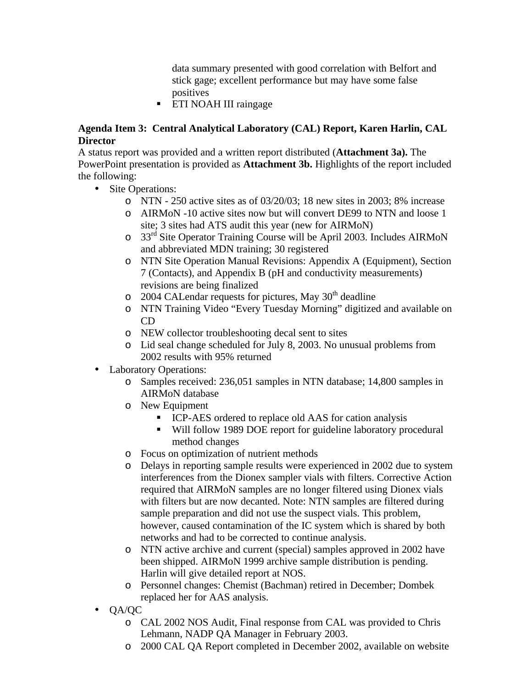data summary presented with good correlation with Belfort and stick gage; excellent performance but may have some false positives

**ETI NOAH III raingage** 

# **Agenda Item 3: Central Analytical Laboratory (CAL) Report, Karen Harlin, CAL Director**

A status report was provided and a written report distributed (**Attachment 3a).** The PowerPoint presentation is provided as **Attachment 3b.** Highlights of the report included the following:

- Site Operations:
	- o NTN 250 active sites as of 03/20/03; 18 new sites in 2003; 8% increase
	- o AIRMoN -10 active sites now but will convert DE99 to NTN and loose 1 site; 3 sites had ATS audit this year (new for AIRMoN)
	- $\circ$  33<sup>rd</sup> Site Operator Training Course will be April 2003. Includes AIRMoN and abbreviated MDN training; 30 registered
	- o NTN Site Operation Manual Revisions: Appendix A (Equipment), Section 7 (Contacts), and Appendix B (pH and conductivity measurements) revisions are being finalized
	- $\circ$  2004 CALendar requests for pictures, May 30<sup>th</sup> deadline
	- o NTN Training Video "Every Tuesday Morning" digitized and available on CD
	- o NEW collector troubleshooting decal sent to sites
	- o Lid seal change scheduled for July 8, 2003. No unusual problems from 2002 results with 95% returned
- Laboratory Operations:
	- o Samples received: 236,051 samples in NTN database; 14,800 samples in AIRMoN database
	- o New Equipment
		- ICP-AES ordered to replace old AAS for cation analysis
		- Will follow 1989 DOE report for guideline laboratory procedural method changes
	- o Focus on optimization of nutrient methods
	- o Delays in reporting sample results were experienced in 2002 due to system interferences from the Dionex sampler vials with filters. Corrective Action required that AIRMoN samples are no longer filtered using Dionex vials with filters but are now decanted. Note: NTN samples are filtered during sample preparation and did not use the suspect vials. This problem, however, caused contamination of the IC system which is shared by both networks and had to be corrected to continue analysis.
	- o NTN active archive and current (special) samples approved in 2002 have been shipped. AIRMoN 1999 archive sample distribution is pending. Harlin will give detailed report at NOS.
	- o Personnel changes: Chemist (Bachman) retired in December; Dombek replaced her for AAS analysis.
- QA/QC
	- o CAL 2002 NOS Audit, Final response from CAL was provided to Chris Lehmann, NADP QA Manager in February 2003.
	- o 2000 CAL QA Report completed in December 2002, available on website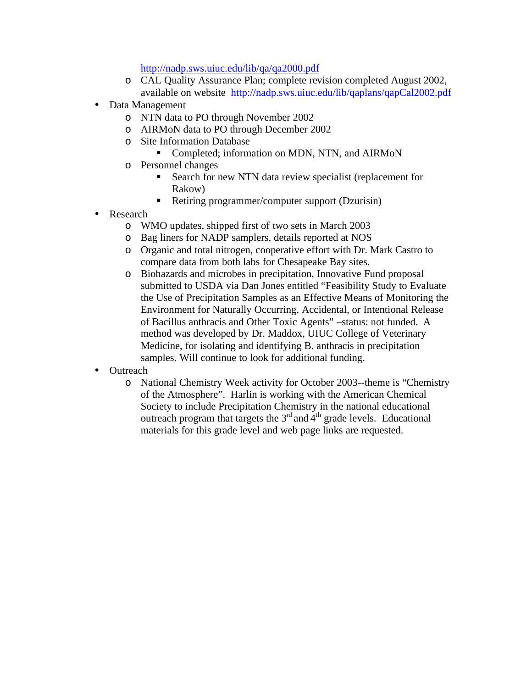http://nadp.sws.uiuc.edu/lib/qa/qa2000.pdf

- o CAL Quality Assurance Plan; complete revision completed August 2002, available on website http://nadp.sws.uiuc.edu/lib/qaplans/qapCal2002.pdf
- Data Management
	- o NTN data to PO through November 2002
	- o AIRMoN data to PO through December 2002
	- o Site Information Database
		- **•** Completed; information on MDN, NTN, and AIRMoN
	- o Personnel changes
		- Search for new NTN data review specialist (replacement for Rakow)
		- Retiring programmer/computer support (Dzurisin)
- **Research** 
	- o WMO updates, shipped first of two sets in March 2003
	- o Bag liners for NADP samplers, details reported at NOS
	- o Organic and total nitrogen, cooperative effort with Dr. Mark Castro to compare data from both labs for Chesapeake Bay sites.
	- o Biohazards and microbes in precipitation, Innovative Fund proposal submitted to USDA via Dan Jones entitled "Feasibility Study to Evaluate the Use of Precipitation Samples as an Effective Means of Monitoring the Environment for Naturally Occurring, Accidental, or Intentional Release of Bacillus anthracis and Other Toxic Agents" –status: not funded. A method was developed by Dr. Maddox, UIUC College of Veterinary Medicine, for isolating and identifying B. anthracis in precipitation samples. Will continue to look for additional funding.
- Outreach
	- o National Chemistry Week activity for October 2003--theme is "Chemistry of the Atmosphere". Harlin is working with the American Chemical Society to include Precipitation Chemistry in the national educational outreach program that targets the  $3<sup>rd</sup>$  and  $4<sup>th</sup>$  grade levels. Educational materials for this grade level and web page links are requested.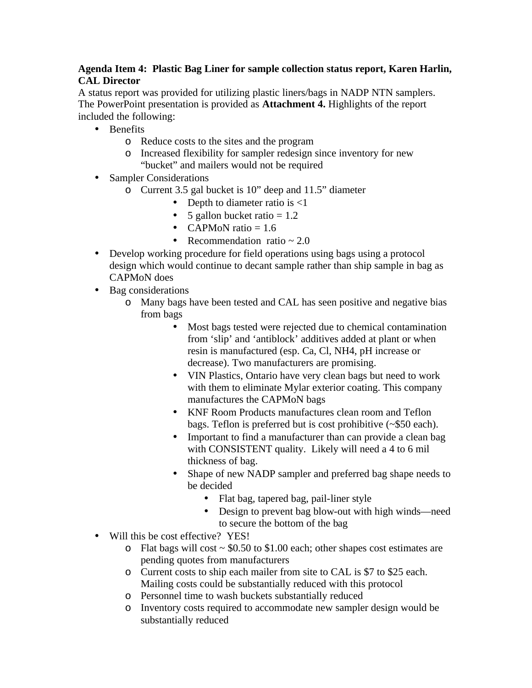# **Agenda Item 4: Plastic Bag Liner for sample collection status report, Karen Harlin, CAL Director**

A status report was provided for utilizing plastic liners/bags in NADP NTN samplers. The PowerPoint presentation is provided as **Attachment 4.** Highlights of the report included the following:

- Benefits
	- o Reduce costs to the sites and the program
	- o Increased flexibility for sampler redesign since inventory for new "bucket" and mailers would not be required
- Sampler Considerations
	- o Current 3.5 gal bucket is 10" deep and 11.5" diameter
		- Depth to diameter ratio is  $\leq 1$
		- 5 gallon bucket ratio  $= 1.2$
		- CAPMoN ratio  $= 1.6$
		- Recommendation ratio  $\approx 2.0$
- Develop working procedure for field operations using bags using a protocol design which would continue to decant sample rather than ship sample in bag as CAPMoN does
- Bag considerations
	- o Many bags have been tested and CAL has seen positive and negative bias from bags
		- Most bags tested were rejected due to chemical contamination from 'slip' and 'antiblock' additives added at plant or when resin is manufactured (esp. Ca, Cl, NH4, pH increase or decrease). Two manufacturers are promising.
		- VIN Plastics, Ontario have very clean bags but need to work with them to eliminate Mylar exterior coating. This company manufactures the CAPMoN bags
		- KNF Room Products manufactures clean room and Teflon bags. Teflon is preferred but is cost prohibitive (~\$50 each).
		- Important to find a manufacturer than can provide a clean bag with CONSISTENT quality. Likely will need a 4 to 6 mil thickness of bag.
		- Shape of new NADP sampler and preferred bag shape needs to be decided
			- Flat bag, tapered bag, pail-liner style
			- Design to prevent bag blow-out with high winds—need to secure the bottom of the bag
- Will this be cost effective? YES!
	- o Flat bags will cost  $\sim$  \$0.50 to \$1.00 each; other shapes cost estimates are pending quotes from manufacturers
	- o Current costs to ship each mailer from site to CAL is \$7 to \$25 each. Mailing costs could be substantially reduced with this protocol
	- o Personnel time to wash buckets substantially reduced
	- o Inventory costs required to accommodate new sampler design would be substantially reduced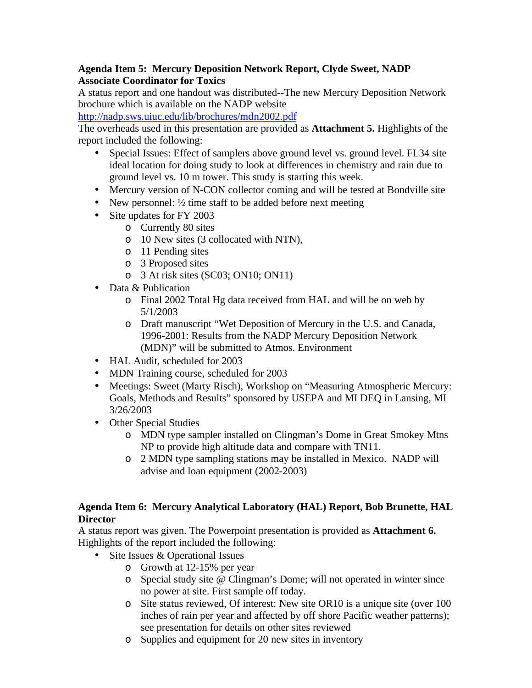## **Agenda Item 5: Mercury Deposition Network Report, Clyde Sweet, NADP Associate Coordinator for Toxics**

A status report and one handout was distributed--The new Mercury Deposition Network brochure which is available on the NADP website

http://nadp.sws.uiuc.edu/lib/brochures/mdn2002.pdf

The overheads used in this presentation are provided as **Attachment 5.** Highlights of the report included the following:

- Special Issues: Effect of samplers above ground level vs. ground level. FL34 site ideal location for doing study to look at differences in chemistry and rain due to ground level vs. 10 m tower. This study is starting this week.
- Mercury version of N-CON collector coming and will be tested at Bondville site
- New personnel:  $\frac{1}{2}$  time staff to be added before next meeting
- Site updates for FY 2003
	- o Currently 80 sites
	- o 10 New sites (3 collocated with NTN),
	- o 11 Pending sites
	- o 3 Proposed sites
	- o 3 At risk sites (SC03; ON10; ON11)
- Data & Publication
	- o Final 2002 Total Hg data received from HAL and will be on web by 5/1/2003
	- o Draft manuscript "Wet Deposition of Mercury in the U.S. and Canada, 1996-2001: Results from the NADP Mercury Deposition Network (MDN)" will be submitted to Atmos. Environment
- HAL Audit, scheduled for 2003
- MDN Training course, scheduled for 2003
- Meetings: Sweet (Marty Risch), Workshop on "Measuring Atmospheric Mercury: Goals, Methods and Results" sponsored by USEPA and MI DEQ in Lansing, MI 3/26/2003
- Other Special Studies
	- o MDN type sampler installed on Clingman's Dome in Great Smokey Mtns NP to provide high altitude data and compare with TN11.
	- o 2 MDN type sampling stations may be installed in Mexico. NADP will advise and loan equipment (2002-2003)

### **Agenda Item 6: Mercury Analytical Laboratory (HAL) Report, Bob Brunette, HAL Director**

A status report was given. The Powerpoint presentation is provided as **Attachment 6.**  Highlights of the report included the following:

- Site Issues & Operational Issues
	- o Growth at 12-15% per year
	- o Special study site @ Clingman's Dome; will not operated in winter since no power at site. First sample off today.
	- o Site status reviewed, Of interest: New site OR10 is a unique site (over 100 inches of rain per year and affected by off shore Pacific weather patterns); see presentation for details on other sites reviewed
	- o Supplies and equipment for 20 new sites in inventory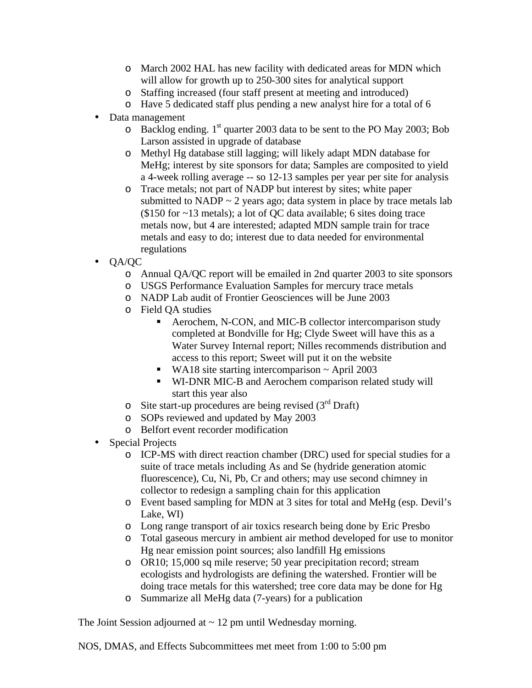- o March 2002 HAL has new facility with dedicated areas for MDN which will allow for growth up to 250-300 sites for analytical support
- o Staffing increased (four staff present at meeting and introduced)
- o Have 5 dedicated staff plus pending a new analyst hire for a total of 6
- Data management
	- o Backlog ending.  $1<sup>st</sup>$  quarter 2003 data to be sent to the PO May 2003; Bob Larson assisted in upgrade of database
	- o Methyl Hg database still lagging; will likely adapt MDN database for MeHg; interest by site sponsors for data; Samples are composited to yield a 4-week rolling average -- so 12-13 samples per year per site for analysis
	- o Trace metals; not part of NADP but interest by sites; white paper submitted to NADP  $\sim$  2 years ago; data system in place by trace metals lab (\$150 for ~13 metals); a lot of QC data available; 6 sites doing trace metals now, but 4 are interested; adapted MDN sample train for trace metals and easy to do; interest due to data needed for environmental regulations
- QA/QC
	- o Annual QA/QC report will be emailed in 2nd quarter 2003 to site sponsors
	- o USGS Performance Evaluation Samples for mercury trace metals
	- o NADP Lab audit of Frontier Geosciences will be June 2003
	- o Field QA studies
		- Aerochem, N-CON, and MIC-B collector intercomparison study completed at Bondville for Hg; Clyde Sweet will have this as a Water Survey Internal report; Nilles recommends distribution and access to this report; Sweet will put it on the website
		- WA18 site starting intercomparison  $\sim$  April 2003
		- **WI-DNR MIC-B and Aerochem comparison related study will** start this year also
	- o Site start-up procedures are being revised  $(3<sup>rd</sup> Draff)$
	- o SOPs reviewed and updated by May 2003
	- o Belfort event recorder modification
- Special Projects
	- o ICP-MS with direct reaction chamber (DRC) used for special studies for a suite of trace metals including As and Se (hydride generation atomic fluorescence), Cu, Ni, Pb, Cr and others; may use second chimney in collector to redesign a sampling chain for this application
	- o Event based sampling for MDN at 3 sites for total and MeHg (esp. Devil's Lake, WI)
	- o Long range transport of air toxics research being done by Eric Presbo
	- o Total gaseous mercury in ambient air method developed for use to monitor Hg near emission point sources; also landfill Hg emissions
	- o OR10; 15,000 sq mile reserve; 50 year precipitation record; stream ecologists and hydrologists are defining the watershed. Frontier will be doing trace metals for this watershed; tree core data may be done for Hg
	- o Summarize all MeHg data (7-years) for a publication

The Joint Session adjourned at  $\sim$  12 pm until Wednesday morning.

NOS, DMAS, and Effects Subcommittees met meet from 1:00 to 5:00 pm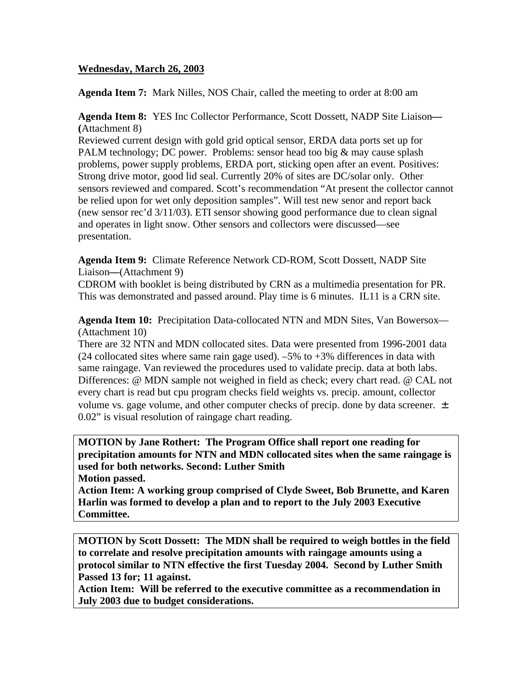## **Wednesday, March 26, 2003**

**Agenda Item 7:** Mark Nilles, NOS Chair, called the meeting to order at 8:00 am

**Agenda Item 8:** YES Inc Collector Performance, Scott Dossett, NADP Site Liaison**— (**Attachment 8)

Reviewed current design with gold grid optical sensor, ERDA data ports set up for PALM technology; DC power. Problems: sensor head too big & may cause splash problems, power supply problems, ERDA port, sticking open after an event. Positives: Strong drive motor, good lid seal. Currently 20% of sites are DC/solar only. Other sensors reviewed and compared. Scott's recommendation "At present the collector cannot be relied upon for wet only deposition samples". Will test new senor and report back (new sensor rec'd 3/11/03). ETI sensor showing good performance due to clean signal and operates in light snow. Other sensors and collectors were discussed—see presentation.

**Agenda Item 9:** Climate Reference Network CD-ROM, Scott Dossett, NADP Site Liaison**—**(Attachment 9)

CDROM with booklet is being distributed by CRN as a multimedia presentation for PR. This was demonstrated and passed around. Play time is 6 minutes. IL11 is a CRN site.

**Agenda Item 10:** Precipitation Data-collocated NTN and MDN Sites, Van Bowersox— (Attachment 10)

There are 32 NTN and MDN collocated sites. Data were presented from 1996-2001 data (24 collocated sites where same rain gage used). –5% to +3% differences in data with same raingage. Van reviewed the procedures used to validate precip. data at both labs. Differences: @ MDN sample not weighed in field as check; every chart read. @ CAL not every chart is read but cpu program checks field weights vs. precip. amount, collector volume vs. gage volume, and other computer checks of precip. done by data screener.  $\pm$ 0.02" is visual resolution of raingage chart reading.

**MOTION by Jane Rothert: The Program Office shall report one reading for precipitation amounts for NTN and MDN collocated sites when the same raingage is used for both networks. Second: Luther Smith**

**Motion passed.** 

**Action Item: A working group comprised of Clyde Sweet, Bob Brunette, and Karen Harlin was formed to develop a plan and to report to the July 2003 Executive Committee.**

**MOTION by Scott Dossett: The MDN shall be required to weigh bottles in the field to correlate and resolve precipitation amounts with raingage amounts using a protocol similar to NTN effective the first Tuesday 2004. Second by Luther Smith Passed 13 for; 11 against.** 

**Action Item: Will be referred to the executive committee as a recommendation in July 2003 due to budget considerations.**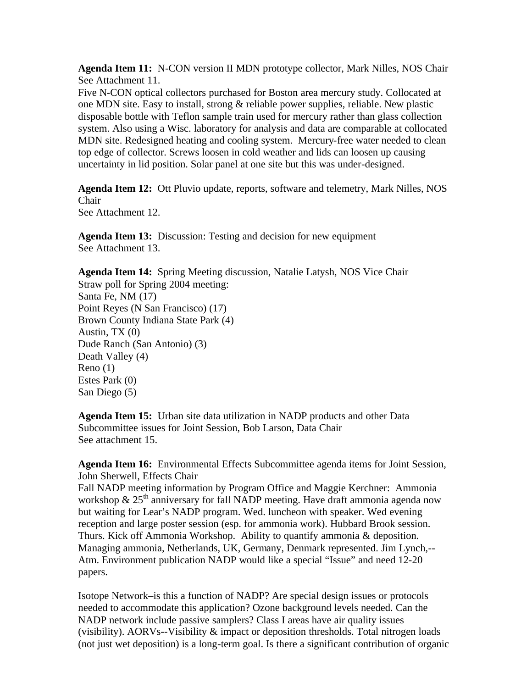**Agenda Item 11:** N-CON version II MDN prototype collector, Mark Nilles, NOS Chair See Attachment 11.

Five N-CON optical collectors purchased for Boston area mercury study. Collocated at one MDN site. Easy to install, strong & reliable power supplies, reliable. New plastic disposable bottle with Teflon sample train used for mercury rather than glass collection system. Also using a Wisc. laboratory for analysis and data are comparable at collocated MDN site. Redesigned heating and cooling system. Mercury-free water needed to clean top edge of collector. Screws loosen in cold weather and lids can loosen up causing uncertainty in lid position. Solar panel at one site but this was under-designed.

**Agenda Item 12:** Ott Pluvio update, reports, software and telemetry, Mark Nilles, NOS Chair See Attachment 12.

**Agenda Item 13:** Discussion: Testing and decision for new equipment See Attachment 13.

**Agenda Item 14:** Spring Meeting discussion, Natalie Latysh, NOS Vice Chair Straw poll for Spring 2004 meeting: Santa Fe, NM (17) Point Reyes (N San Francisco) (17) Brown County Indiana State Park (4) Austin, TX (0) Dude Ranch (San Antonio) (3) Death Valley (4) Reno (1) Estes Park (0) San Diego (5)

**Agenda Item 15:** Urban site data utilization in NADP products and other Data Subcommittee issues for Joint Session, Bob Larson, Data Chair See attachment 15.

**Agenda Item 16:** Environmental Effects Subcommittee agenda items for Joint Session, John Sherwell, Effects Chair

Fall NADP meeting information by Program Office and Maggie Kerchner: Ammonia workshop  $\&$  25<sup>th</sup> anniversary for fall NADP meeting. Have draft ammonia agenda now but waiting for Lear's NADP program. Wed. luncheon with speaker. Wed evening reception and large poster session (esp. for ammonia work). Hubbard Brook session. Thurs. Kick off Ammonia Workshop. Ability to quantify ammonia & deposition. Managing ammonia, Netherlands, UK, Germany, Denmark represented. Jim Lynch,-- Atm. Environment publication NADP would like a special "Issue" and need 12-20 papers.

Isotope Network–is this a function of NADP? Are special design issues or protocols needed to accommodate this application? Ozone background levels needed. Can the NADP network include passive samplers? Class I areas have air quality issues (visibility). AORVs--Visibility & impact or deposition thresholds. Total nitrogen loads (not just wet deposition) is a long-term goal. Is there a significant contribution of organic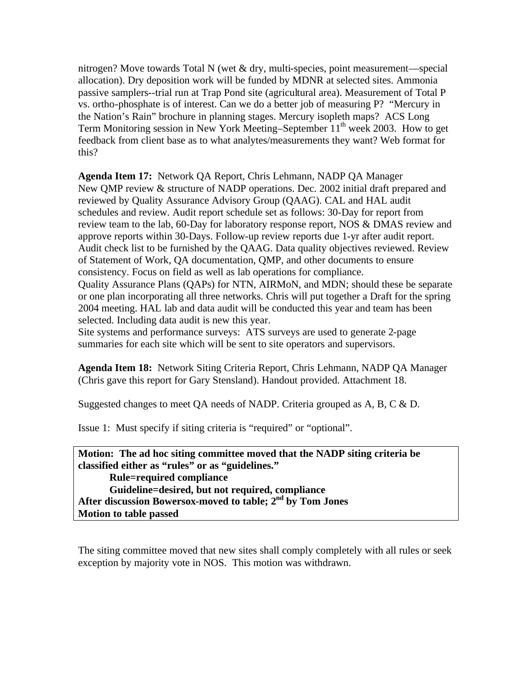nitrogen? Move towards Total N (wet & dry, multi-species, point measurement—special allocation). Dry deposition work will be funded by MDNR at selected sites. Ammonia passive samplers--trial run at Trap Pond site (agricultural area). Measurement of Total P vs. ortho-phosphate is of interest. Can we do a better job of measuring P? "Mercury in the Nation's Rain" brochure in planning stages. Mercury isopleth maps? ACS Long Term Monitoring session in New York Meeting–September  $11<sup>th</sup>$  week 2003. How to get feedback from client base as to what analytes/measurements they want? Web format for this?

**Agenda Item 17:** Network QA Report, Chris Lehmann, NADP QA Manager New QMP review & structure of NADP operations. Dec. 2002 initial draft prepared and reviewed by Quality Assurance Advisory Group (QAAG). CAL and HAL audit schedules and review. Audit report schedule set as follows: 30-Day for report from review team to the lab, 60-Day for laboratory response report, NOS & DMAS review and approve reports within 30-Days. Follow-up review reports due 1-yr after audit report. Audit check list to be furnished by the QAAG. Data quality objectives reviewed. Review of Statement of Work, QA documentation, QMP, and other documents to ensure consistency. Focus on field as well as lab operations for compliance. Quality Assurance Plans (QAPs) for NTN, AIRMoN, and MDN; should these be separate or one plan incorporating all three networks. Chris will put together a Draft for the spring 2004 meeting. HAL lab and data audit will be conducted this year and team has been selected. Including data audit is new this year.

Site systems and performance surveys: ATS surveys are used to generate 2-page summaries for each site which will be sent to site operators and supervisors.

**Agenda Item 18:** Network Siting Criteria Report, Chris Lehmann, NADP QA Manager (Chris gave this report for Gary Stensland). Handout provided. Attachment 18.

Suggested changes to meet QA needs of NADP. Criteria grouped as A, B, C & D.

Issue 1: Must specify if siting criteria is "required" or "optional".

**Motion: The ad hoc siting committee moved that the NADP siting criteria be classified either as "rules" or as "guidelines." Rule=required compliance Guideline=desired, but not required, compliance After discussion Bowersox-moved to table; 2nd by Tom Jones Motion to table passed**

The siting committee moved that new sites shall comply completely with all rules or seek exception by majority vote in NOS. This motion was withdrawn.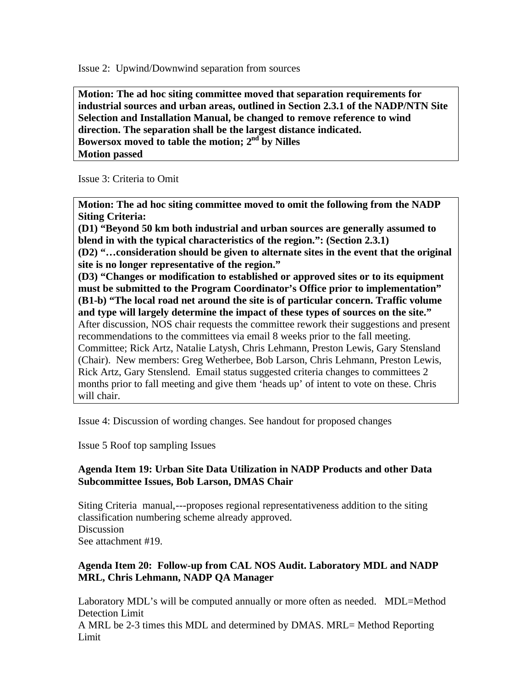Issue 2: Upwind/Downwind separation from sources

**Motion: The ad hoc siting committee moved that separation requirements for industrial sources and urban areas, outlined in Section 2.3.1 of the NADP/NTN Site Selection and Installation Manual, be changed to remove reference to wind direction. The separation shall be the largest distance indicated. Bowersox moved to table the motion; 2nd by Nilles Motion passed**

Issue 3: Criteria to Omit

**Motion: The ad hoc siting committee moved to omit the following from the NADP Siting Criteria:** 

**(D1) "Beyond 50 km both industrial and urban sources are generally assumed to blend in with the typical characteristics of the region.": (Section 2.3.1) (D2) "…consideration should be given to alternate sites in the event that the original site is no longer representative of the region." (D3) "Changes or modification to established or approved sites or to its equipment must be submitted to the Program Coordinator's Office prior to implementation" (B1-b) "The local road net around the site is of particular concern. Traffic volume and type will largely determine the impact of these types of sources on the site."** After discussion, NOS chair requests the committee rework their suggestions and present recommendations to the committees via email 8 weeks prior to the fall meeting. Committee; Rick Artz, Natalie Latysh, Chris Lehmann, Preston Lewis, Gary Stensland (Chair). New members: Greg Wetherbee, Bob Larson, Chris Lehmann, Preston Lewis, Rick Artz, Gary Stenslend. Email status suggested criteria changes to committees 2 months prior to fall meeting and give them 'heads up' of intent to vote on these. Chris will chair.

Issue 4: Discussion of wording changes. See handout for proposed changes

Issue 5 Roof top sampling Issues

### **Agenda Item 19: Urban Site Data Utilization in NADP Products and other Data Subcommittee Issues, Bob Larson, DMAS Chair**

Siting Criteria manual,---proposes regional representativeness addition to the siting classification numbering scheme already approved. **Discussion** See attachment #19.

## **Agenda Item 20: Follow-up from CAL NOS Audit. Laboratory MDL and NADP MRL, Chris Lehmann, NADP QA Manager**

Laboratory MDL's will be computed annually or more often as needed. MDL=Method Detection Limit

A MRL be 2-3 times this MDL and determined by DMAS. MRL= Method Reporting Limit